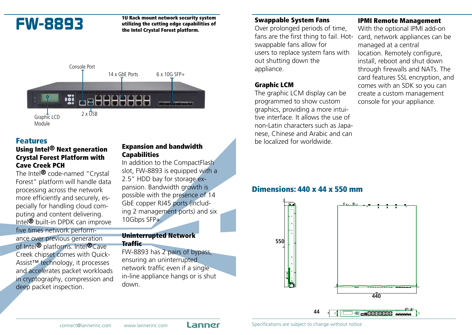FW-8893 <sup>10 Rack</sup> mount network security system<br>utilizing the cutting edge capabilities of utilizing the cutting edge capabilities of the Intel Crystal Forest platform.



# Features

# Using Intel® Next generation Crystal Forest Platform with Cave Creek PCH

The Intel<sup>®</sup> code-named "Crystal Forest" platform will handle data processing across the network more efficiently and securely, especially for handling cloud computing and content delivering. Intel® built-in DPDK can improve five times network performance over previous generation of Intel® platforms. Intel®Cave Creek chipset comes with Quick-Assist™ technology, it processes and accelerates packet workloads in cryptography, compression and deep packet inspection.

# Expansion and bandwidth Capabilities

In addition to the CompactFlash slot, FW-8893 is equipped with a 2.5" HDD bay for storage expansion. Bandwidth growth is possible with the presence of 14 GbE copper RJ45 ports (including 2 management ports) and six 10Gbps SFP+.

#### Uninterrupted Network Traffic

FW-8893 has 2 pairs of bypass, ensuring an uninterrupted network traffic even if a single in-line appliance hangs or is shut down.

## Swappable System Fans

Over prolonged periods of time, fans are the first thing to fail. Hotswappable fans allow for users to replace system fans with out shutting down the appliance.

# Graphic LCM

The graphic LCM display can be programmed to show custom graphics, providing a more intuitive interface. It allows the use of non-Latin characters such as Japanese, Chinese and Arabic and can be localized for worldwide.

# IPMI Remote Management

With the optional IPMI add-on card, network appliances can be managed at a central location. Remotely configure, install, reboot and shut down through firewalls and NATs. The card features SSL encryption, and comes with an SDK so you can create a custom management console for your appliance.

# Dimensions: 440 x 44 x 550 mm